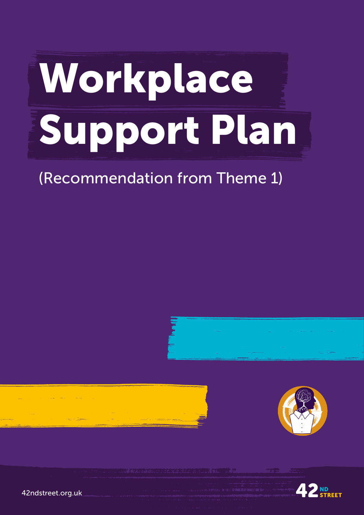## Workplace Support Plan

## (Recommendation from Theme 1)









42ndstreet.org.uk